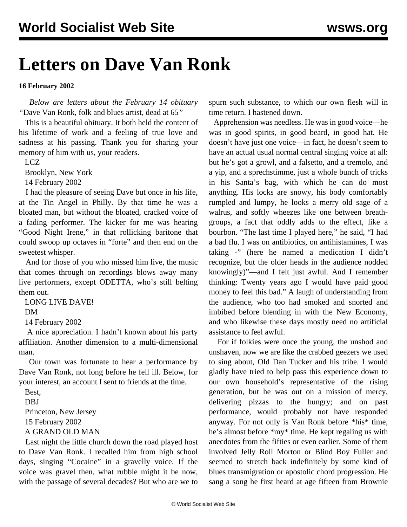## **Letters on Dave Van Ronk**

## **16 February 2002**

 *Below are letters about the February 14 obituary "*[Dave Van Ronk, folk and blues artist, dead at 65](vanr-f14.shtml)*"*

 This is a beautiful obituary. It both held the content of his lifetime of work and a feeling of true love and sadness at his passing. Thank you for sharing your memory of him with us, your readers.

LCZ

Brooklyn, New York

14 February 2002

 I had the pleasure of seeing Dave but once in his life, at the Tin Angel in Philly. By that time he was a bloated man, but without the bloated, cracked voice of a fading performer. The kicker for me was hearing "Good Night Irene," in that rollicking baritone that could swoop up octaves in "forte" and then end on the sweetest whisper.

 And for those of you who missed him live, the music that comes through on recordings blows away many live performers, except ODETTA, who's still belting them out.

LONG LIVE DAVE!

## DM

14 February 2002

 A nice appreciation. I hadn't known about his party affiliation. Another dimension to a multi-dimensional man.

 Our town was fortunate to hear a performance by Dave Van Ronk, not long before he fell ill. Below, for your interest, an account I sent to friends at the time.

Best,

DBJ

Princeton, New Jersey

15 February 2002

A GRAND OLD MAN

 Last night the little church down the road played host to Dave Van Ronk. I recalled him from high school days, singing "Cocaine" in a gravelly voice. If the voice was gravel then, what rubble might it be now, with the passage of several decades? But who are we to

spurn such substance, to which our own flesh will in time return. I hastened down.

 Apprehension was needless. He was in good voice—he was in good spirits, in good beard, in good hat. He doesn't have just one voice—in fact, he doesn't seem to have an actual usual normal central singing voice at all: but he's got a growl, and a falsetto, and a tremolo, and a yip, and a sprechstimme, just a whole bunch of tricks in his Santa's bag, with which he can do most anything. His locks are snowy, his body comfortably rumpled and lumpy, he looks a merry old sage of a walrus, and softly wheezes like one between breathgroups, a fact that oddly adds to the effect, like a bourbon. "The last time I played here," he said, "I had a bad flu. I was on antibiotics, on antihistamines, I was taking -" (here he named a medication I didn't recognize, but the older heads in the audience nodded knowingly)"—and I felt just awful. And I remember thinking: Twenty years ago I would have paid good money to feel this bad." A laugh of understanding from the audience, who too had smoked and snorted and imbibed before blending in with the New Economy, and who likewise these days mostly need no artificial assistance to feel awful.

 For if folkies were once the young, the unshod and unshaven, now we are like the crabbed geezers we used to sing about, Old Dan Tucker and his tribe. I would gladly have tried to help pass this experience down to our own household's representative of the rising generation, but he was out on a mission of mercy, delivering pizzas to the hungry; and on past performance, would probably not have responded anyway. For not only is Van Ronk before \*his\* time, he's almost before \*my\* time. He kept regaling us with anecdotes from the fifties or even earlier. Some of them involved Jelly Roll Morton or Blind Boy Fuller and seemed to stretch back indefinitely by some kind of blues transmigration or apostolic chord progression. He sang a song he first heard at age fifteen from Brownie